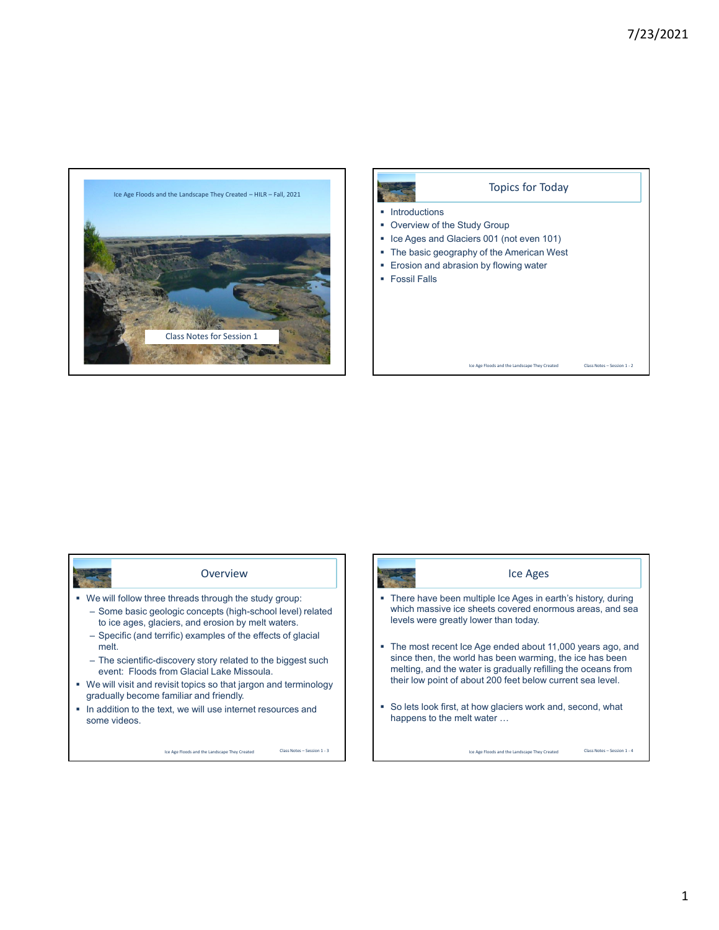



## Overview

- We will follow three threads through the study group: – Some basic geologic concepts (high-school level) related
	- to ice ages, glaciers, and erosion by melt waters. – Specific (and terrific) examples of the effects of glacial
	- melt. – The scientific-discovery story related to the biggest such event: Floods from Glacial Lake Missoula.
- We will visit and revisit topics so that jargon and terminology gradually become familiar and friendly.
- **In addition to the text, we will use internet resources and** some videos.

Ice Age Floods and the Landscape They Created

Class Notes – Session 1 - 3 **Ice Age Floods and the Landscape They Created** Ice Ages • There have been multiple Ice Ages in earth's history, during which massive ice sheets covered enormous areas, and sea levels were greatly lower than today. The most recent Ice Age ended about 11,000 years ago, and since then, the world has been warming, the ice has been melting, and the water is gradually refilling the oceans from their low point of about 200 feet below current sea level. So lets look first, at how glaciers work and, second, what happens to the melt water … Class Notes – Session 1 - 4

1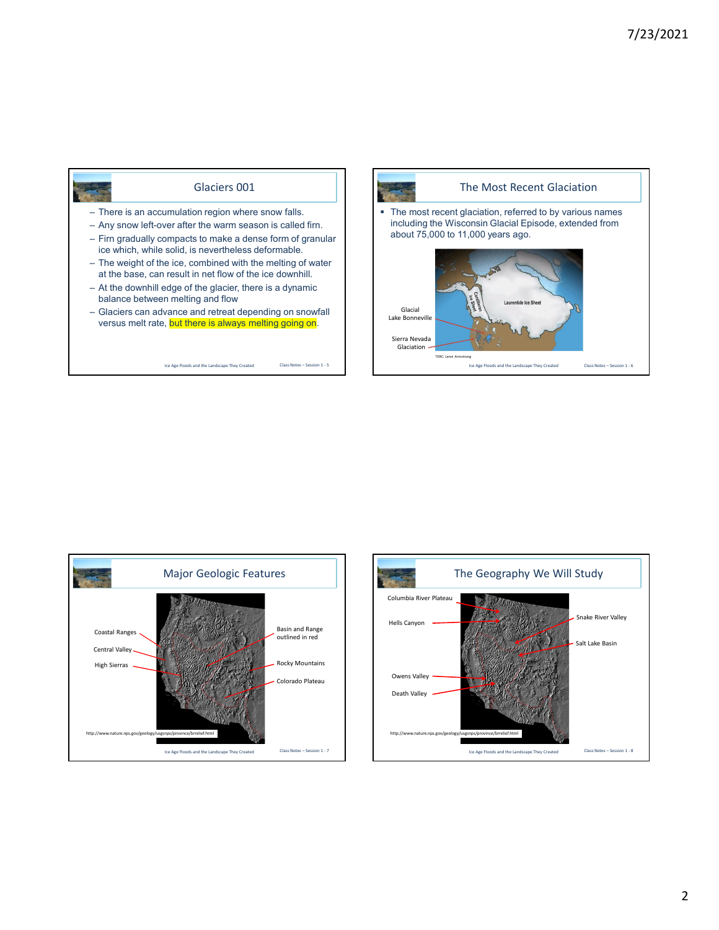

Glaciers 001





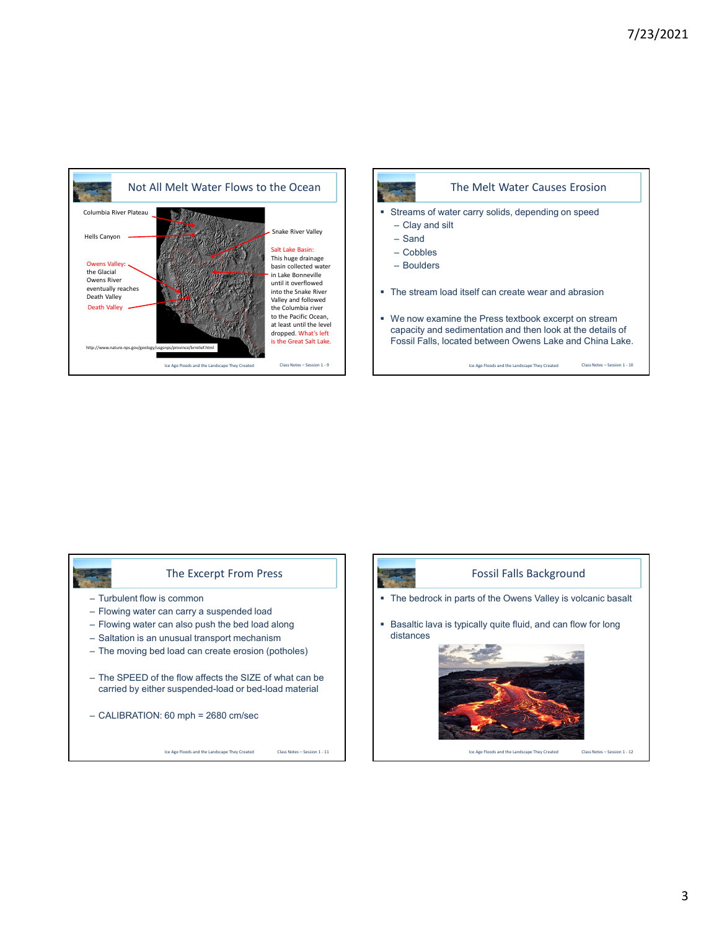



## The Excerpt From Press

- Turbulent flow is common
- Flowing water can carry a suspended load
- Flowing water can also push the bed load along
- Saltation is an unusual transport mechanism
- The moving bed load can create erosion (potholes)
- The SPEED of the flow affects the SIZE of what can be carried by either suspended-load or bed-load material
- CALIBRATION: 60 mph = 2680 cm/sec

Ice Age Floods and the Landscape They Created



## Fossil Falls Background

- The bedrock in parts of the Owens Valley is volcanic basalt
- **Basaltic lava is typically quite fluid, and can flow for long** distances



Class Notes – Session 1 - 11 **Ice Age Floods and the Landscape They Created** 

Class Notes – Session 1 - 12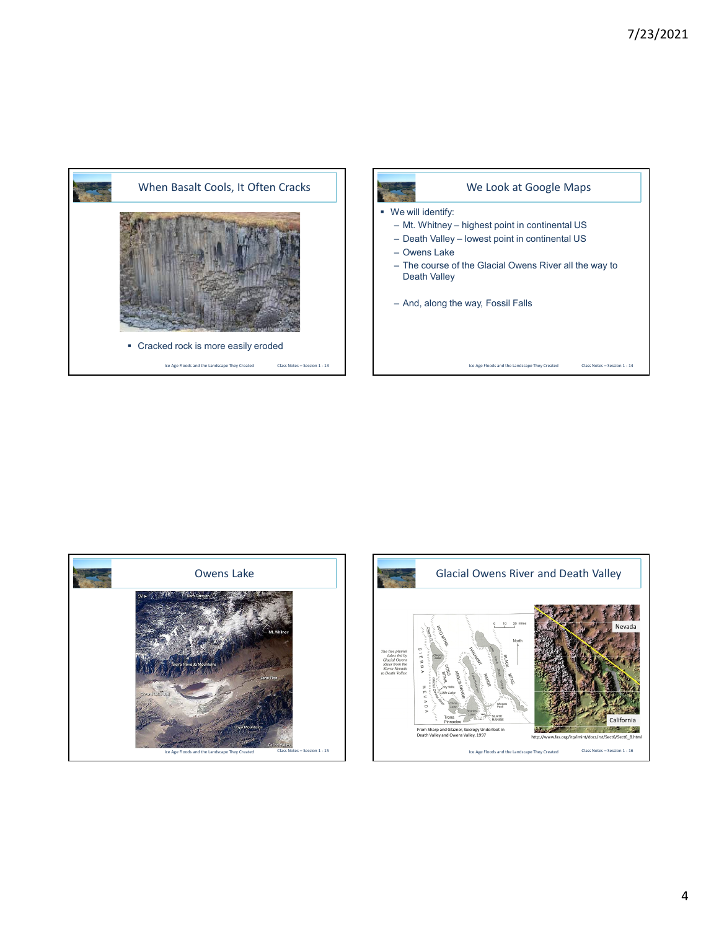